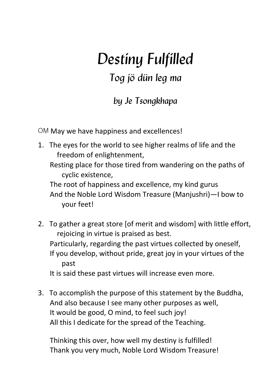# *Destiny Fulfilled*

## *Tog jö dün leg ma*

## *by Je Tsongkhapa*

OM May we have happiness and excellences!

1. The eyes for the world to see higher realms of life and the freedom of enlightenment,

Resting place for those tired from wandering on the paths of cyclic existence.

The root of happiness and excellence, my kind gurus And the Noble Lord Wisdom Treasure (Manjushri)-I bow to your feet!

- 2. To gather a great store [of merit and wisdom] with little effort, rejoicing in virtue is praised as best. Particularly, regarding the past virtues collected by oneself, If you develop, without pride, great joy in your virtues of the past It is said these past virtues will increase even more.
- 3. To accomplish the purpose of this statement by the Buddha, And also because I see many other purposes as well, It would be good, O mind, to feel such joy! All this I dedicate for the spread of the Teaching.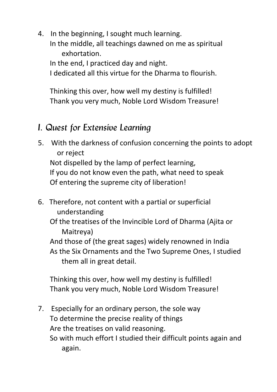4. In the beginning, I sought much learning. In the middle, all teachings dawned on me as spiritual exhortation. 

In the end, I practiced day and night. I dedicated all this virtue for the Dharma to flourish. 

Thinking this over, how well my destiny is fulfilled! Thank you very much, Noble Lord Wisdom Treasure!

## *I. Quest for Extensive Learning*

5. With the darkness of confusion concerning the points to adopt or reject 

Not dispelled by the lamp of perfect learning, If you do not know even the path, what need to speak Of entering the supreme city of liberation!

6. Therefore, not content with a partial or superficial understanding 

Of the treatises of the Invincible Lord of Dharma (Ajita or Maitreya) 

And those of (the great sages) widely renowned in India As the Six Ornaments and the Two Supreme Ones, I studied them all in great detail.

Thinking this over, how well my destiny is fulfilled! Thank you very much, Noble Lord Wisdom Treasure!

7. Especially for an ordinary person, the sole way To determine the precise reality of things Are the treatises on valid reasoning. So with much effort I studied their difficult points again and again.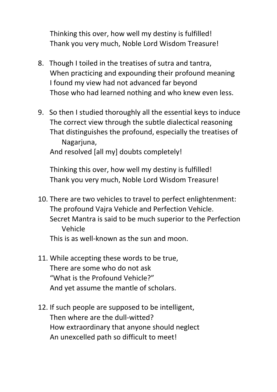Thinking this over, how well my destiny is fulfilled! Thank you very much, Noble Lord Wisdom Treasure!

- 8. Though I toiled in the treatises of sutra and tantra, When practicing and expounding their profound meaning I found my view had not advanced far beyond Those who had learned nothing and who knew even less.
- 9. So then I studied thoroughly all the essential keys to induce The correct view through the subtle dialectical reasoning That distinguishes the profound, especially the treatises of Nagarjuna, And resolved [all my] doubts completely!

- 10. There are two vehicles to travel to perfect enlightenment: The profound Vajra Vehicle and Perfection Vehicle. Secret Mantra is said to be much superior to the Perfection Vehicle This is as well-known as the sun and moon
- 11. While accepting these words to be true, There are some who do not ask "What is the Profound Vehicle?" And vet assume the mantle of scholars.
- 12. If such people are supposed to be intelligent, Then where are the dull-witted? How extraordinary that anyone should neglect An unexcelled path so difficult to meet!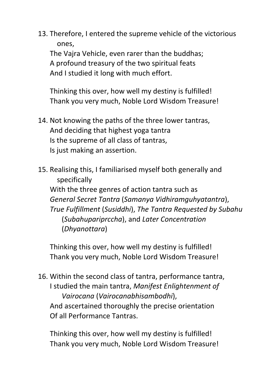13. Therefore, I entered the supreme vehicle of the victorious ones, 

The Vaira Vehicle, even rarer than the buddhas: A profound treasury of the two spiritual feats And I studied it long with much effort.

Thinking this over, how well my destiny is fulfilled! Thank you very much, Noble Lord Wisdom Treasure!

- 14. Not knowing the paths of the three lower tantras, And deciding that highest yoga tantra Is the supreme of all class of tantras, Is just making an assertion.
- 15. Realising this, I familiarised myself both generally and specifically With the three genres of action tantra such as *General Secret Tantra* (*Samanya Vidhiramguhyatantra*), *True Fulfillment* (*Susiddhi*), *The Tantra Requested by Subahu* (*Subahupariprccha*), and *Later Concentration* (*Dhyanottara*)

Thinking this over, how well my destiny is fulfilled! Thank you very much, Noble Lord Wisdom Treasure!

16. Within the second class of tantra, performance tantra, I studied the main tantra, *Manifest Enlightenment of Vairocana* (*Vairocanabhisambodhi*), And ascertained thoroughly the precise orientation Of all Performance Tantras.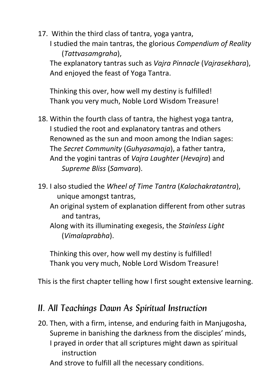17. Within the third class of tantra, voga vantra, I studied the main tantras, the glorious *Compendium of Reality* (*Tattvasamgraha*), 

The explanatory tantras such as *Vajra Pinnacle* (*Vajrasekhara*), And enioved the feast of Yoga Tantra.

Thinking this over, how well my destiny is fulfilled! Thank you very much, Noble Lord Wisdom Treasure!

- 18. Within the fourth class of tantra, the highest yoga tantra, I studied the root and explanatory tantras and others Renowned as the sun and moon among the Indian sages: The *Secret Community* (*Guhyasamaja*), a father tantra, And the yogini tantras of *Vajra Laughter* (*Hevajra*) and *Supreme Bliss* (*Samvara*).
- 19. I also studied the *Wheel of Time Tantra* (*Kalachakratantra*), unique amongst tantras,
	- An original system of explanation different from other sutras and tantras.
	- Along with its illuminating exegesis, the *Stainless Light* (*Vimalaprabha*).

Thinking this over, how well my destiny is fulfilled! Thank you very much, Noble Lord Wisdom Treasure!

This is the first chapter telling how I first sought extensive learning.

### *II. All Teachings Dawn As Spiritual Instruction*

20. Then, with a firm, intense, and enduring faith in Manjugosha, Supreme in banishing the darkness from the disciples' minds, I prayed in order that all scriptures might dawn as spiritual instruction And strove to fulfill all the necessary conditions.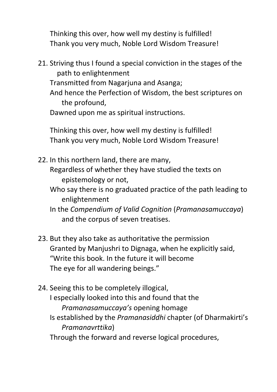Thinking this over, how well my destiny is fulfilled! Thank you very much, Noble Lord Wisdom Treasure!

21. Striving thus I found a special conviction in the stages of the path to enlightenment Transmitted from Nagariuna and Asanga; And hence the Perfection of Wisdom, the best scriptures on the profound. Dawned upon me as spiritual instructions.

- 22. In this northern land, there are many, Regardless of whether they have studied the texts on
	- epistemology or not,
	- Who say there is no graduated practice of the path leading to enlightenment
	- In the *Compendium of Valid Cognition* (*Pramanasamuccaya*) and the corpus of seven treatises.
- 23. But they also take as authoritative the permission Granted by Manjushri to Dignaga, when he explicitly said, "Write this book. In the future it will become The eye for all wandering beings."
- 24. Seeing this to be completely illogical, I especially looked into this and found that the *Pramanasamuccaya's* opening homage Is established by the *Pramanasiddhi* chapter (of Dharmakirti's *Pramanavrttika*) Through the forward and reverse logical procedures,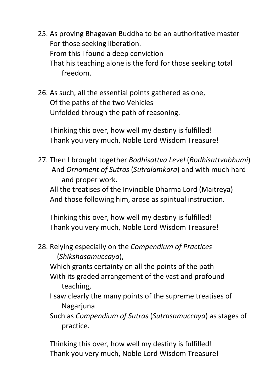- 25. As proving Bhagavan Buddha to be an authoritative master For those seeking liberation. From this I found a deep conviction That his teaching alone is the ford for those seeking total freedom.
- 26. As such, all the essential points gathered as one, Of the paths of the two Vehicles Unfolded through the path of reasoning.

Thinking this over, how well my destiny is fulfilled! Thank you very much, Noble Lord Wisdom Treasure!

27. Then I brought together *Bodhisattva Level* (*Bodhisattvabhumi*) And *Ornament of Sutras* (*Sutralamkara*) and with much hard and proper work.

All the treatises of the Invincible Dharma Lord (Maitreya) And those following him, arose as spiritual instruction.

Thinking this over, how well my destiny is fulfilled! Thank you very much, Noble Lord Wisdom Treasure!

28. Relying especially on the *Compendium of Practices* (*Shikshasamuccaya*), 

Which grants certainty on all the points of the path With its graded arrangement of the vast and profound teaching, 

- I saw clearly the many points of the supreme treatises of Nagarjuna
- Such as *Compendium of Sutras* (*Sutrasamuccaya*) as stages of practice.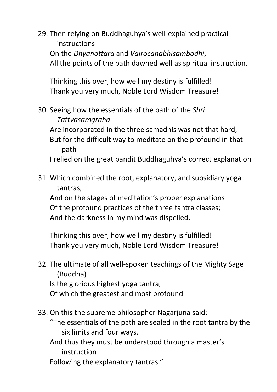29. Then relying on Buddhaguhya's well-explained practical instructions On the *Dhyanottara* and *Vairocanabhisambodhi*, All the points of the path dawned well as spiritual instruction.

Thinking this over, how well my destiny is fulfilled! Thank you very much, Noble Lord Wisdom Treasure!

30. Seeing how the essentials of the path of the *Shri Tattvasamgraha* 

Are incorporated in the three samadhis was not that hard, But for the difficult way to meditate on the profound in that path 

I relied on the great pandit Buddhaguhya's correct explanation

31. Which combined the root, explanatory, and subsidiary yoga tantras,

And on the stages of meditation's proper explanations Of the profound practices of the three tantra classes; And the darkness in my mind was dispelled.

- 32. The ultimate of all well-spoken teachings of the Mighty Sage (Buddha) Is the glorious highest yoga tantra, Of which the greatest and most profound
- 33. On this the supreme philosopher Nagarjuna said: "The essentials of the path are sealed in the root tantra by the six limits and four ways. And thus they must be understood through a master's instruction Following the explanatory tantras."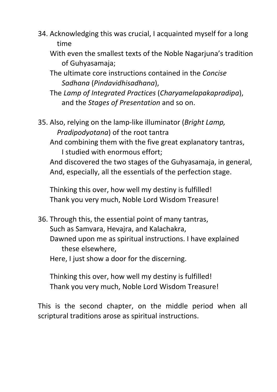- 34. Acknowledging this was crucial, I acquainted myself for a long time
	- With even the smallest texts of the Noble Nagariuna's tradition of Guhyasamaja;
	- The ultimate core instructions contained in the *Concise Sadhana* (*Pindavidhisadhana*),
	- The *Lamp of Integrated Practices* (*Charyamelapakapradipa*), and the *Stages of Presentation* and so on.

35. Also, relying on the lamp-like illuminator (*Bright Lamp*, *Pradipodyotana*) of the root tantra And combining them with the five great explanatory tantras,

I studied with enormous effort;

And discovered the two stages of the Guhyasamaja, in general, And, especially, all the essentials of the perfection stage.

Thinking this over, how well my destiny is fulfilled! Thank you very much, Noble Lord Wisdom Treasure!

36. Through this, the essential point of many tantras, Such as Samvara, Hevajra, and Kalachakra, Dawned upon me as spiritual instructions. I have explained these elsewhere.

Here, I just show a door for the discerning.

Thinking this over, how well my destiny is fulfilled! Thank you very much, Noble Lord Wisdom Treasure!

This is the second chapter, on the middle period when all scriptural traditions arose as spiritual instructions.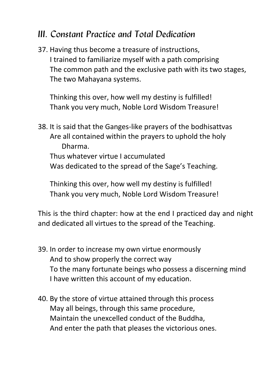## *III. Constant Practice and Total Dedication*

37. Having thus become a treasure of instructions, I trained to familiarize myself with a path comprising The common path and the exclusive path with its two stages, The two Mahayana systems.

Thinking this over, how well my destiny is fulfilled! Thank you very much, Noble Lord Wisdom Treasure!

38. It is said that the Ganges-like prayers of the bodhisattvas Are all contained within the prayers to uphold the holy Dharma. Thus whatever virtue I accumulated Was dedicated to the spread of the Sage's Teaching.

Thinking this over, how well my destiny is fulfilled! Thank you very much, Noble Lord Wisdom Treasure!

This is the third chapter: how at the end I practiced day and night and dedicated all virtues to the spread of the Teaching.

- 39. In order to increase my own virtue enormously And to show properly the correct way To the many fortunate beings who possess a discerning mind I have written this account of my education.
- 40. By the store of virtue attained through this process May all beings, through this same procedure, Maintain the unexcelled conduct of the Buddha. And enter the path that pleases the victorious ones.